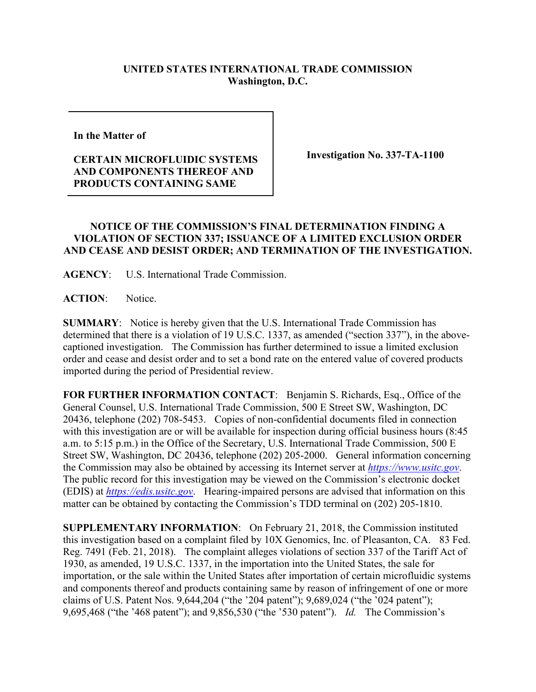## **UNITED STATES INTERNATIONAL TRADE COMMISSION Washington, D.C.**

**In the Matter of** 

## **CERTAIN MICROFLUIDIC SYSTEMS AND COMPONENTS THEREOF AND PRODUCTS CONTAINING SAME**

**Investigation No. 337-TA-1100**

## **NOTICE OF THE COMMISSION'S FINAL DETERMINATION FINDING A VIOLATION OF SECTION 337; ISSUANCE OF A LIMITED EXCLUSION ORDER AND CEASE AND DESIST ORDER; AND TERMINATION OF THE INVESTIGATION.**

**AGENCY**: U.S. International Trade Commission.

**ACTION**: Notice.

**SUMMARY**: Notice is hereby given that the U.S. International Trade Commission has determined that there is a violation of 19 U.S.C. 1337, as amended ("section 337"), in the abovecaptioned investigation. The Commission has further determined to issue a limited exclusion order and cease and desist order and to set a bond rate on the entered value of covered products imported during the period of Presidential review.

**FOR FURTHER INFORMATION CONTACT**: Benjamin S. Richards, Esq., Office of the General Counsel, U.S. International Trade Commission, 500 E Street SW, Washington, DC 20436, telephone (202) 708-5453. Copies of non-confidential documents filed in connection with this investigation are or will be available for inspection during official business hours (8:45 a.m. to 5:15 p.m.) in the Office of the Secretary, U.S. International Trade Commission, 500 E Street SW, Washington, DC 20436, telephone (202) 205-2000. General information concerning the Commission may also be obtained by accessing its Internet server at *[https://www.usitc.gov](https://www.usitc.gov/)*. The public record for this investigation may be viewed on the Commission's electronic docket (EDIS) at *[https://edis.usitc.gov](https://edis.usitc.gov/)*. Hearing-impaired persons are advised that information on this matter can be obtained by contacting the Commission's TDD terminal on (202) 205-1810.

**SUPPLEMENTARY INFORMATION**: On February 21, 2018, the Commission instituted this investigation based on a complaint filed by 10X Genomics, Inc. of Pleasanton, CA. 83 Fed. Reg. 7491 (Feb. 21, 2018). The complaint alleges violations of section 337 of the Tariff Act of 1930, as amended, 19 U.S.C. 1337, in the importation into the United States, the sale for importation, or the sale within the United States after importation of certain microfluidic systems and components thereof and products containing same by reason of infringement of one or more claims of U.S. Patent Nos. 9,644,204 ("the '204 patent"); 9,689,024 ("the '024 patent"); 9,695,468 ("the '468 patent"); and 9,856,530 ("the '530 patent"). *Id.* The Commission's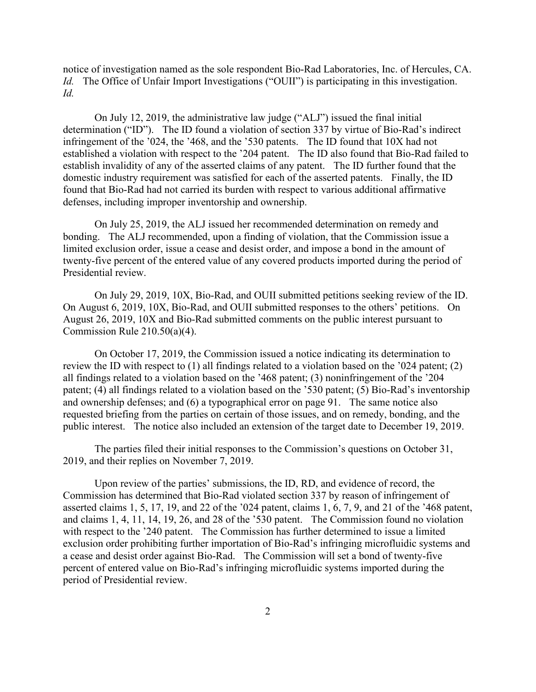notice of investigation named as the sole respondent Bio-Rad Laboratories, Inc. of Hercules, CA. *Id.* The Office of Unfair Import Investigations ("OUII") is participating in this investigation. *Id.*

On July 12, 2019, the administrative law judge ("ALJ") issued the final initial determination ("ID"). The ID found a violation of section 337 by virtue of Bio-Rad's indirect infringement of the '024, the '468, and the '530 patents. The ID found that 10X had not established a violation with respect to the '204 patent. The ID also found that Bio-Rad failed to establish invalidity of any of the asserted claims of any patent. The ID further found that the domestic industry requirement was satisfied for each of the asserted patents. Finally, the ID found that Bio-Rad had not carried its burden with respect to various additional affirmative defenses, including improper inventorship and ownership.

On July 25, 2019, the ALJ issued her recommended determination on remedy and bonding. The ALJ recommended, upon a finding of violation, that the Commission issue a limited exclusion order, issue a cease and desist order, and impose a bond in the amount of twenty-five percent of the entered value of any covered products imported during the period of Presidential review.

On July 29, 2019, 10X, Bio-Rad, and OUII submitted petitions seeking review of the ID. On August 6, 2019, 10X, Bio-Rad, and OUII submitted responses to the others' petitions. On August 26, 2019, 10X and Bio-Rad submitted comments on the public interest pursuant to Commission Rule 210.50(a)(4).

On October 17, 2019, the Commission issued a notice indicating its determination to review the ID with respect to (1) all findings related to a violation based on the '024 patent; (2) all findings related to a violation based on the '468 patent; (3) noninfringement of the '204 patent; (4) all findings related to a violation based on the '530 patent; (5) Bio-Rad's inventorship and ownership defenses; and (6) a typographical error on page 91. The same notice also requested briefing from the parties on certain of those issues, and on remedy, bonding, and the public interest. The notice also included an extension of the target date to December 19, 2019.

The parties filed their initial responses to the Commission's questions on October 31, 2019, and their replies on November 7, 2019.

Upon review of the parties' submissions, the ID, RD, and evidence of record, the Commission has determined that Bio-Rad violated section 337 by reason of infringement of asserted claims 1, 5, 17, 19, and 22 of the '024 patent, claims 1, 6, 7, 9, and 21 of the '468 patent, and claims 1, 4, 11, 14, 19, 26, and 28 of the '530 patent. The Commission found no violation with respect to the '240 patent. The Commission has further determined to issue a limited exclusion order prohibiting further importation of Bio-Rad's infringing microfluidic systems and a cease and desist order against Bio-Rad. The Commission will set a bond of twenty-five percent of entered value on Bio-Rad's infringing microfluidic systems imported during the period of Presidential review.